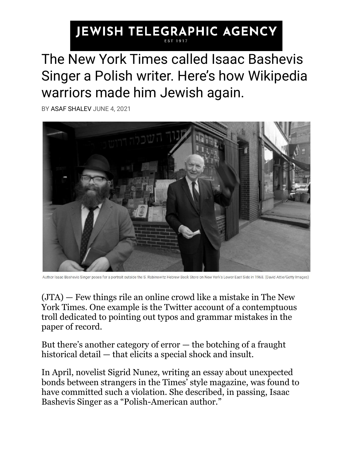## JEWISH TELEGRAPHIC AGENCY

## The New York Times called Isaac Bashevis Singer a Polish writer. Here's how Wikipedia warriors made him Jewish again.

BY [ASAF SHALEV](https://www.jta.org/author/ashalev) JUNE 4, 2021



Author Isaac Bashevis Singer poses for a portrait outside the S. Rabinowitz Hebrew Book Store on New York's Lower East Side in 1968. (David Attie/Getty Images)

[\(JTA\)](http://jta.org/) — Few things rile an online crowd like a mistake in The New York Times. One example is the [Twitter account](https://twitter.com/nyttypos) of a contemptuous troll dedicated to pointing out typos and grammar mistakes in the paper of record.

But there's another category of  $error -$  the botching of a fraught historical detail — that elicits a special shock and insult.

In April, novelist Sigrid Nunez, writing an essay about unexpected bonds between strangers in the Times' style magazine, [was found to](https://twitter.com/avitalrachel/status/1384336531721183236)  [have committed](https://twitter.com/avitalrachel/status/1384336531721183236) such a violation. She described, in passing, Isaac Bashevis Singer as a "Polish-American author."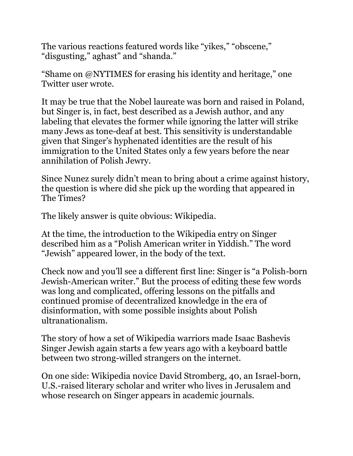The various reactions featured words like "yikes," "obscene," "disgusting," aghast" and "shanda."

"Shame on @NYTIMES for erasing his identity and heritage," one Twitter user wrote.

It may be true that the Nobel laureate was born and raised in Poland, but Singer is, in fact, best described as a Jewish author, and any labeling that elevates the former while ignoring the latter [will strike](https://www.heyalma.com/how-can-you-describe-isaac-bashevis-singer-without-saying-jewish/)  [many Jews as tone-deaf at best.](https://www.heyalma.com/how-can-you-describe-isaac-bashevis-singer-without-saying-jewish/) This sensitivity is understandable given that Singer's hyphenated identities are the result of his immigration to the United States only a few years before the near annihilation of Polish Jewry.

Since Nunez surely didn't mean to bring about a crime against history, the question is where did she pick up the wording that appeared in The Times?

The likely answer is quite obvious: Wikipedia.

At the time, [the introduction to the Wikipedia](https://en.wikipedia.org/w/index.php?title=Isaac_Bashevis_Singer&oldid=1013825346) entry on Singer described him as a "Polish American writer in Yiddish." The word "Jewish" appeared lower, in the body of the text.

Check now and you'll see a different first line: Singer is "a Polish-born Jewish-American writer." But the process of editing these few words was long and complicated, offering lessons on the pitfalls and continued promise of decentralized knowledge in the era of disinformation, with some possible insights about Polish ultranationalism.

The story of how a set of Wikipedia warriors made Isaac Bashevis Singer Jewish again starts a few years ago with a keyboard battle between two strong-willed strangers on the internet.

On one side: Wikipedia novice David Stromberg, 40, an Israel-born, U.S.-raised literary scholar and writer who lives in Jerusalem and whose research on Singer appears in academic journals.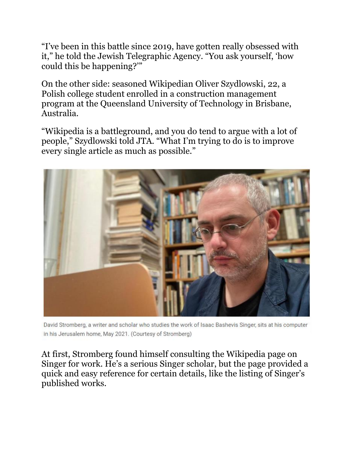"I've been in this battle since 2019, have gotten really obsessed with it," he told the Jewish Telegraphic Agency. "You ask yourself, 'how could this be happening?'"

On the other side: seasoned Wikipedian Oliver Szydlowski, 22, a Polish college student enrolled in a construction management program at the Queensland University of Technology in Brisbane, Australia.

"Wikipedia is a battleground, and you do tend to argue with a lot of people," Szydlowski told JTA. "What I'm trying to do is to improve every single article as much as possible."



David Stromberg, a writer and scholar who studies the work of Isaac Bashevis Singer, sits at his computer in his Jerusalem home, May 2021. (Courtesy of Stromberg)

At first, Stromberg found himself consulting the Wikipedia page on Singer for work. He's a serious Singer scholar, but the page provided a quick and easy reference for certain details, like the listing of Singer's published works.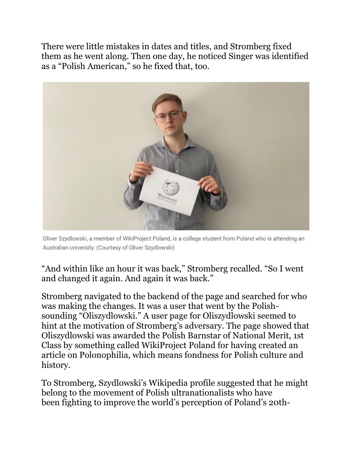There were little mistakes in dates and titles, and Stromberg fixed them as he went along. Then one day, he noticed Singer was identified as a "Polish American," so he fixed that, too.



Oliver Szydlowski, a member of WikiProject Poland, is a college student from Poland who is attending an Australian university. (Courtesy of Oliver Szydlowski)

"And within like an hour it was back," Stromberg recalled. "So I went and changed it again. And again it was back."

Stromberg navigated to the backend of the page and searched for who was making the changes. It was a user that went by the Polishsounding "Oliszydlowski." A [user page](https://en.wikipedia.org/wiki/User:Oliszydlowski) for Oliszydlowski seemed to hint at the motivation of Stromberg's adversary. The page showed that Oliszydlowski was awarded the Polish Barnstar of National Merit, 1st Class by something called [WikiProject Poland](https://en.wikipedia.org/wiki/Wikipedia:WikiProject_Poland) for having created an article on Polonophilia, which means fondness for Polish culture and history.

To Stromberg, Szydlowski's Wikipedia profile suggested that he might belong to the movement of Polish ultranationalists who have been [fighting to improve](https://www.jta.org/2020/01/14/global/following-polands-lead-lithuania-proposes-a-controversial-holocaust-law) the world's perception of Poland's 20th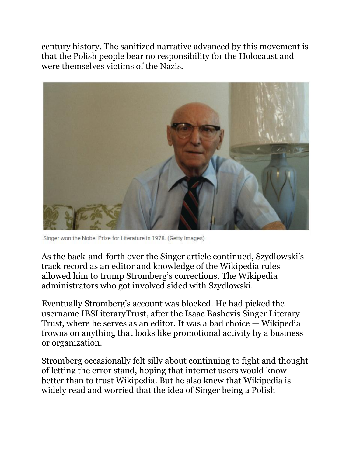century history. The sanitized narrative advanced by this movement is that the Polish people bear no responsibility for the Holocaust and were themselves victims of the Nazis.



Singer won the Nobel Prize for Literature in 1978. (Getty Images)

As the back-and-forth over the Singer article continued, Szydlowski's track record as an editor and knowledge of the Wikipedia rules allowed him to trump Stromberg's corrections. The Wikipedia administrators who got involved sided with Szydlowski.

Eventually Stromberg's account was blocked. He had picked the username IBSLiteraryTrust, after the Isaac Bashevis Singer Literary Trust, where he serves as an editor. It was a bad choice — Wikipedia frowns on anything that looks like promotional activity by a business or organization.

Stromberg occasionally felt silly about continuing to fight and thought of letting the error stand, hoping that internet users would know better than to trust Wikipedia. But he also knew that Wikipedia is widely read and worried that the idea of Singer being a Polish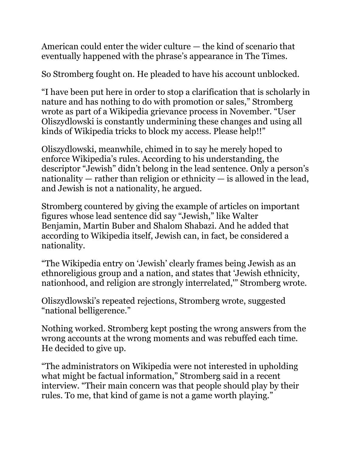American could enter the wider culture — the kind of scenario that eventually happened with the phrase's appearance in The Times.

So Stromberg fought on. He pleaded to have his account unblocked.

"I have been put here in order to stop a clarification that is scholarly in nature and has nothing to do with promotion or sales," Stromberg wrote as part of a Wikipedia grievance process in November. "User Oliszydlowski is constantly undermining these changes and using all kinds of Wikipedia tricks to block my access. Please help!!"

Oliszydlowski, meanwhile, chimed in to say he merely hoped to enforce Wikipedia's rules. According to his understanding, the descriptor "Jewish" didn't belong in the lead sentence. Only a person's nationality — rather than religion or ethnicity — is allowed in the lead, and Jewish is not a nationality, he argued.

Stromberg countered by giving the example of articles on important figures whose lead sentence did say "Jewish," like [Walter](https://en.wikipedia.org/wiki/Walter_Benjamin)  [Benjamin,](https://en.wikipedia.org/wiki/Walter_Benjamin) [Martin Buber](https://en.wikipedia.org/wiki/Martin_Buber) and [Shalom Shabazi.](https://en.wikipedia.org/wiki/Shalom_Shabazi) And he added that according to Wikipedia itself, Jewish can, in fact, be considered a nationality.

"The Wikipedia entry on 'Jewish' clearly frames being Jewish as an ethnoreligious group and a nation, and states that 'Jewish ethnicity, nationhood, and religion are strongly interrelated,'" Stromberg wrote.

Oliszydlowski's repeated rejections, Stromberg wrote, suggested "national belligerence."

Nothing worked. Stromberg kept posting the wrong answers from the wrong accounts at the wrong moments and was rebuffed each time. He decided to give up.

"The administrators on Wikipedia were not interested in upholding what might be factual information," Stromberg said in a recent interview. "Their main concern was that people should play by their rules. To me, that kind of game is not a game worth playing."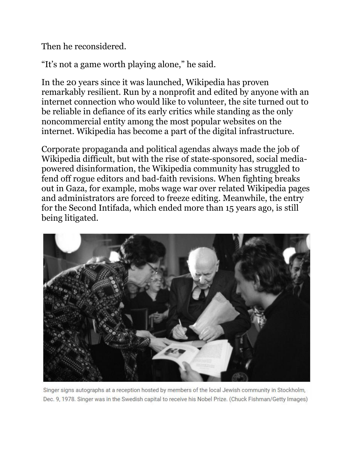Then he reconsidered.

"It's not a game worth playing alone," he said.

In the 20 years since it was launched, Wikipedia has proven remarkably resilient. Run by a nonprofit and edited by anyone with an internet connection who would like to volunteer, the site turned out to be reliable in defiance of its early critics while standing as the only noncommercial entity among the most popular websites on the internet. Wikipedia has become a part of the digital infrastructure.

Corporate propaganda and political agendas always made the job of Wikipedia difficult, but with the rise of state-sponsored, social mediapowered disinformation, the Wikipedia community has struggled to fend off rogue editors and bad-faith revisions. When fighting breaks out in Gaza, for example, mobs wage war over related Wikipedia pages and administrators are forced to freeze editing. Meanwhile, the entry for the Second Intifada, which ended more than 15 years ago, is [still](https://www.haaretz.com/israel-news/.premium.HIGHLIGHT-the-second-intifada-still-rages-on-wikipedia-1.9201705)  [being litigated.](https://www.haaretz.com/israel-news/.premium.HIGHLIGHT-the-second-intifada-still-rages-on-wikipedia-1.9201705)



Singer signs autographs at a reception hosted by members of the local Jewish community in Stockholm, Dec. 9, 1978. Singer was in the Swedish capital to receive his Nobel Prize. (Chuck Fishman/Getty Images)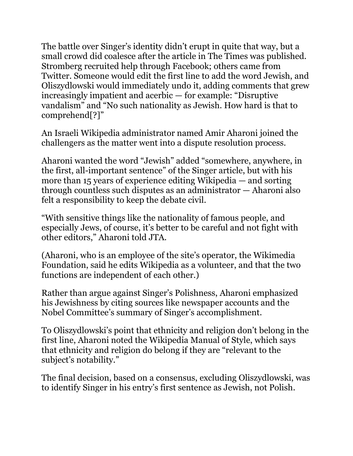The battle over Singer's identity didn't erupt in quite that way, but a small crowd did coalesce after the article in The Times was published. Stromberg recruited help through Facebook; others came from Twitter. Someone would edit the first line to add the word Jewish, and Oliszydlowski would immediately undo it, adding comments that grew increasingly impatient and acerbic — for example: "Disruptive vandalism" and "No such nationality as Jewish. How hard is that to comprehend[?]"

An Israeli Wikipedia administrator named Amir Aharoni joined the challengers as the matter went into a dispute resolution process.

Aharoni wanted the word "Jewish" added "somewhere, anywhere, in the first, all-important sentence" of the Singer article, but with his more than 15 years of experience editing Wikipedia — and sorting through countless such disputes as an administrator — Aharoni also felt a responsibility to keep the debate civil.

"With sensitive things like the nationality of famous people, and especially Jews, of course, it's better to be careful and not fight with other editors," Aharoni told JTA.

(Aharoni, who is an employee of the site's operator, the Wikimedia Foundation, said he edits Wikipedia as a volunteer, and that the two functions are independent of each other.)

Rather than argue against Singer's Polishness, Aharoni emphasized his Jewishness by citing sources like newspaper accounts and the Nobel Committee's summary of Singer's accomplishment.

To Oliszydlowski's point that ethnicity and religion don't belong in the first line, Aharoni noted the [Wikipedia Manual of Style,](https://en.wikipedia.org/wiki/Wikipedia:Manual_of_Style/Biography) which says that ethnicity and religion do belong if they are "relevant to the subject's notability."

The final decision, based on a consensus, excluding Oliszydlowski, was to identify Singer in his entry's first sentence as Jewish, not Polish.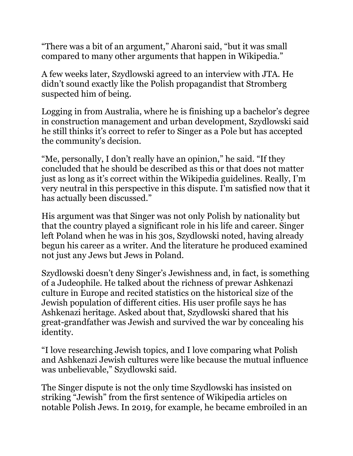"There was a bit of an argument," Aharoni said, "but it was small compared to many other arguments that happen in Wikipedia."

A few weeks later, Szydlowski agreed to an interview with JTA. He didn't sound exactly like the Polish propagandist that Stromberg suspected him of being.

Logging in from Australia, where he is finishing up a bachelor's degree in construction management and urban development, Szydlowski said he still thinks it's correct to refer to Singer as a Pole but has accepted the community's decision.

"Me, personally, I don't really have an opinion," he said. "If they concluded that he should be described as this or that does not matter just as long as it's correct within the Wikipedia guidelines. Really, I'm very neutral in this perspective in this dispute. I'm satisfied now that it has actually been discussed."

His argument was that Singer was not only Polish by nationality but that the country played a significant role in his life and career. Singer left Poland when he was in his 30s, Szydlowski noted, having already begun his career as a writer. And the literature he produced examined not just any Jews but Jews in Poland.

Szydlowski doesn't deny Singer's Jewishness and, in fact, is something of a Judeophile. He talked about the richness of prewar Ashkenazi culture in Europe and recited statistics on the historical size of the Jewish population of different cities. His user profile says he has Ashkenazi heritage. Asked about that, Szydlowski shared that his great-grandfather was Jewish and survived the war by concealing his identity.

"I love researching Jewish topics, and I love comparing what Polish and Ashkenazi Jewish cultures were like because the mutual influence was unbelievable," Szydlowski said.

The Singer dispute is not the only time Szydlowski has insisted on striking "Jewish" from the first sentence of Wikipedia articles on notable Polish Jews. In 2019, for example, he [became embroiled in an](https://en.wikipedia.org/wiki/Talk:Renia_Spiegel)